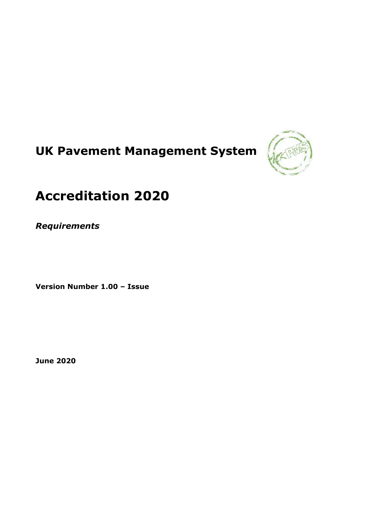# **UK Pavement Management System**



## **Accreditation 2020**

*Requirements*

**Version Number 1.00 – Issue**

**June 2020**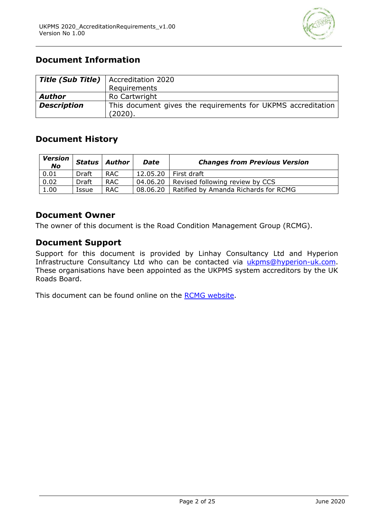

## **Document Information**

|                    | <b>Title (Sub Title)</b>   Accreditation 2020                |
|--------------------|--------------------------------------------------------------|
|                    | Requirements                                                 |
| <b>Author</b>      | Ro Cartwright                                                |
|                    |                                                              |
| <b>Description</b> | This document gives the requirements for UKPMS accreditation |
|                    | (2020).                                                      |

## **Document History**

| <b>Version</b><br><b>No</b> | Status | Author     | <b>Changes from Previous Version</b><br>Date |                                      |
|-----------------------------|--------|------------|----------------------------------------------|--------------------------------------|
| 0.01                        | Draft  | <b>RAC</b> | 12.05.20                                     | First draft                          |
| 0.02                        | Draft  | <b>RAC</b> | 04.06.20                                     | Revised following review by CCS      |
| 1.00                        | Issue  | <b>RAC</b> | 08.06.20                                     | Ratified by Amanda Richards for RCMG |

## **Document Owner**

The owner of this document is the Road Condition Management Group (RCMG).

## **Document Support**

Support for this document is provided by Linhay Consultancy Ltd and Hyperion Infrastructure Consultancy Ltd who can be contacted via [ukpms@hyperion-uk.com.](about:blank) These organisations have been appointed as the UKPMS system accreditors by the UK Roads Board.

This document can be found online on the [RCMG website.](about:blank)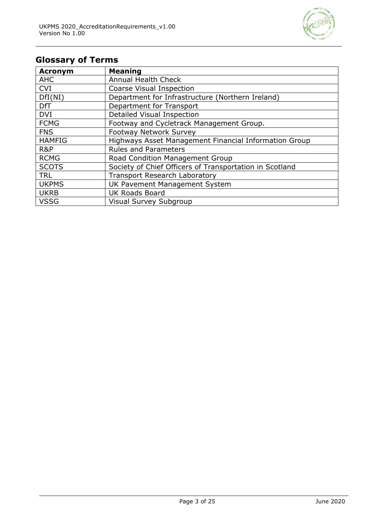

## **Glossary of Terms**

| <b>Acronym</b> | <b>Meaning</b>                                          |
|----------------|---------------------------------------------------------|
| <b>AHC</b>     | <b>Annual Health Check</b>                              |
| <b>CVI</b>     | Coarse Visual Inspection                                |
| DfI(NI)        | Department for Infrastructure (Northern Ireland)        |
| <b>DfT</b>     | Department for Transport                                |
| <b>DVI</b>     | Detailed Visual Inspection                              |
| <b>FCMG</b>    | Footway and Cycletrack Management Group.                |
| <b>FNS</b>     | <b>Footway Network Survey</b>                           |
| <b>HAMFIG</b>  | Highways Asset Management Financial Information Group   |
| R&P            | <b>Rules and Parameters</b>                             |
| <b>RCMG</b>    | Road Condition Management Group                         |
| <b>SCOTS</b>   | Society of Chief Officers of Transportation in Scotland |
| <b>TRL</b>     | <b>Transport Research Laboratory</b>                    |
| <b>UKPMS</b>   | UK Pavement Management System                           |
| <b>UKRB</b>    | <b>UK Roads Board</b>                                   |
| <b>VSSG</b>    | <b>Visual Survey Subgroup</b>                           |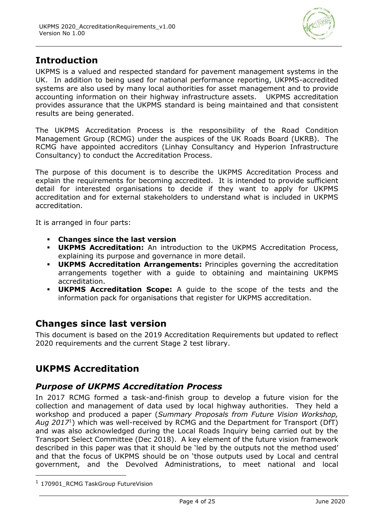

## **Introduction**

UKPMS is a valued and respected standard for pavement management systems in the UK. In addition to being used for national performance reporting, UKPMS-accredited systems are also used by many local authorities for asset management and to provide accounting information on their highway infrastructure assets. UKPMS accreditation provides assurance that the UKPMS standard is being maintained and that consistent results are being generated.

The UKPMS Accreditation Process is the responsibility of the Road Condition Management Group (RCMG) under the auspices of the UK Roads Board (UKRB). The RCMG have appointed accreditors (Linhay Consultancy and Hyperion Infrastructure Consultancy) to conduct the Accreditation Process.

The purpose of this document is to describe the UKPMS Accreditation Process and explain the requirements for becoming accredited. It is intended to provide sufficient detail for interested organisations to decide if they want to apply for UKPMS accreditation and for external stakeholders to understand what is included in UKPMS accreditation.

It is arranged in four parts:

- **Changes since the last version**
- **UKPMS Accreditation:** An introduction to the UKPMS Accreditation Process, explaining its purpose and governance in more detail.
- **UKPMS Accreditation Arrangements:** Principles governing the accreditation arrangements together with a guide to obtaining and maintaining UKPMS accreditation.
- **UKPMS Accreditation Scope:** A guide to the scope of the tests and the information pack for organisations that register for UKPMS accreditation.

## **Changes since last version**

This document is based on the 2019 Accreditation Requirements but updated to reflect 2020 requirements and the current Stage 2 test library.

## **UKPMS Accreditation**

## *Purpose of UKPMS Accreditation Process*

In 2017 RCMG formed a task-and-finish group to develop a future vision for the collection and management of data used by local highway authorities. They held a workshop and produced a paper (*Summary Proposals from Future Vision Workshop, Aug 2017*<sup>1</sup> ) which was well-received by RCMG and the Department for Transport (DfT) and was also acknowledged during the Local Roads Inquiry being carried out by the Transport Select Committee (Dec 2018). A key element of the future vision framework described in this paper was that it should be 'led by the outputs not the method used' and that the focus of UKPMS should be on 'those outputs used by Local and central government, and the Devolved Administrations, to meet national and local

<sup>&</sup>lt;sup>1</sup> 170901\_RCMG TaskGroup FutureVision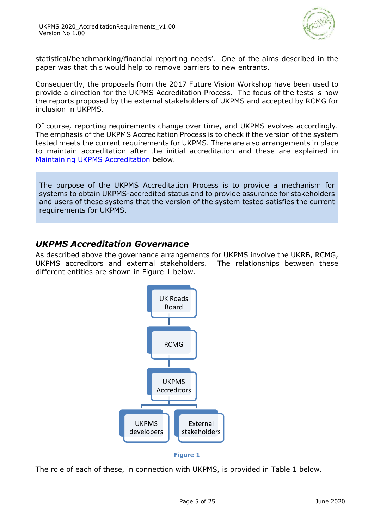

statistical/benchmarking/financial reporting needs'. One of the aims described in the paper was that this would help to remove barriers to new entrants.

Consequently, the proposals from the 2017 Future Vision Workshop have been used to provide a direction for the UKPMS Accreditation Process. The focus of the tests is now the reports proposed by the external stakeholders of UKPMS and accepted by RCMG for inclusion in UKPMS.

Of course, reporting requirements change over time, and UKPMS evolves accordingly. The emphasis of the UKPMS Accreditation Process is to check if the version of the system tested meets the current requirements for UKPMS. There are also arrangements in place to maintain accreditation after the initial accreditation and these are explained in [Maintaining UKPMS Accreditation](#page-10-0) below.

The purpose of the UKPMS Accreditation Process is to provide a mechanism for systems to obtain UKPMS-accredited status and to provide assurance for stakeholders and users of these systems that the version of the system tested satisfies the current requirements for UKPMS.

## *UKPMS Accreditation Governance*

As described above the governance arrangements for UKPMS involve the UKRB, RCMG, UKPMS accreditors and external stakeholders. The relationships between these different entities are shown in Figure 1 below.





The role of each of these, in connection with UKPMS, is provided in Table 1 below.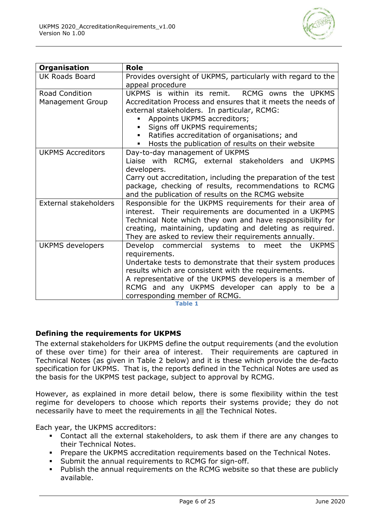

| <b>Organisation</b>          | <b>Role</b>                                                                                               |  |
|------------------------------|-----------------------------------------------------------------------------------------------------------|--|
| <b>UK Roads Board</b>        | Provides oversight of UKPMS, particularly with regard to the                                              |  |
|                              | appeal procedure                                                                                          |  |
| <b>Road Condition</b>        | RCMG owns the UPKMS<br>UKPMS is within its remit.                                                         |  |
| <b>Management Group</b>      | Accreditation Process and ensures that it meets the needs of                                              |  |
|                              | external stakeholders. In particular, RCMG:                                                               |  |
|                              | Appoints UKPMS accreditors;                                                                               |  |
|                              | Signs off UKPMS requirements;<br>$\blacksquare$                                                           |  |
|                              | Ratifies accreditation of organisations; and                                                              |  |
|                              | Hosts the publication of results on their website<br>٠                                                    |  |
| <b>UKPMS Accreditors</b>     | Day-to-day management of UKPMS                                                                            |  |
|                              | Liaise with RCMG, external stakeholders and<br><b>UKPMS</b>                                               |  |
|                              | developers.                                                                                               |  |
|                              | Carry out accreditation, including the preparation of the test                                            |  |
|                              | package, checking of results, recommendations to RCMG                                                     |  |
|                              | and the publication of results on the RCMG website                                                        |  |
| <b>External stakeholders</b> | Responsible for the UKPMS requirements for their area of                                                  |  |
|                              | interest. Their requirements are documented in a UKPMS                                                    |  |
|                              | Technical Note which they own and have responsibility for                                                 |  |
|                              | creating, maintaining, updating and deleting as required.                                                 |  |
|                              | They are asked to review their requirements annually.                                                     |  |
| <b>UKPMS</b> developers      | Develop commercial systems to meet<br>the<br><b>UKPMS</b>                                                 |  |
|                              | requirements.                                                                                             |  |
|                              | Undertake tests to demonstrate that their system produces                                                 |  |
|                              | results which are consistent with the requirements.                                                       |  |
|                              | A representative of the UKPMS developers is a member of<br>RCMG and any UKPMS developer can apply to be a |  |
|                              |                                                                                                           |  |
|                              | corresponding member of RCMG.                                                                             |  |

**Table 1**

#### **Defining the requirements for UKPMS**

The external stakeholders for UKPMS define the output requirements (and the evolution of these over time) for their area of interest. Their requirements are captured in Technical Notes (as given in Table 2 below) and it is these which provide the de-facto specification for UKPMS. That is, the reports defined in the Technical Notes are used as the basis for the UKPMS test package, subject to approval by RCMG.

However, as explained in more detail below, there is some flexibility within the test regime for developers to choose which reports their systems provide; they do not necessarily have to meet the requirements in all the Technical Notes.

Each year, the UKPMS accreditors:

- Contact all the external stakeholders, to ask them if there are any changes to their Technical Notes.
- **Prepare the UKPMS accreditation requirements based on the Technical Notes.**
- Submit the annual requirements to RCMG for sign-off.
- Publish the annual requirements on the RCMG website so that these are publicly available.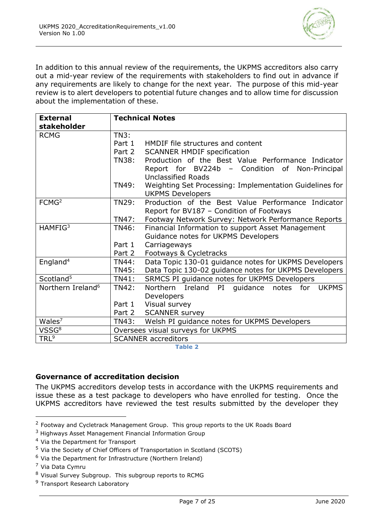

In addition to this annual review of the requirements, the UKPMS accreditors also carry out a mid-year review of the requirements with stakeholders to find out in advance if any requirements are likely to change for the next year. The purpose of this mid-year review is to alert developers to potential future changes and to allow time for discussion about the implementation of these.

| <b>External</b><br>stakeholder | <b>Technical Notes</b>            |                                                           |  |
|--------------------------------|-----------------------------------|-----------------------------------------------------------|--|
| <b>RCMG</b>                    | TN3:                              |                                                           |  |
|                                | Part 1                            | HMDIF file structures and content                         |  |
|                                | Part 2                            | <b>SCANNER HMDIF specification</b>                        |  |
|                                | TN38:                             | Production of the Best Value Performance Indicator        |  |
|                                |                                   | Report for BV224b - Condition of<br>Non-Principal         |  |
|                                |                                   | <b>Unclassified Roads</b>                                 |  |
|                                | <b>TN49:</b>                      | Weighting Set Processing: Implementation Guidelines for   |  |
|                                |                                   | <b>UKPMS Developers</b>                                   |  |
| FCMG <sup>2</sup>              | TN29:                             | Production of the Best Value Performance Indicator        |  |
|                                |                                   | Report for BV187 - Condition of Footways                  |  |
|                                | <b>TN47:</b>                      | Footway Network Survey: Network Performance Reports       |  |
| HAMFIG <sup>3</sup>            | TN46:                             | Financial Information to support Asset Management         |  |
|                                |                                   | Guidance notes for UKPMS Developers                       |  |
|                                | Part 1                            | Carriageways                                              |  |
|                                | Part 2                            | Footways & Cycletracks                                    |  |
| England <sup>4</sup>           | <b>TN44:</b>                      | Data Topic 130-01 guidance notes for UKPMS Developers     |  |
|                                | TN45:                             | Data Topic 130-02 guidance notes for UKPMS Developers     |  |
| Scotland <sup>5</sup>          | TN41:                             | SRMCS PI guidance notes for UKPMS Developers              |  |
| Northern Ireland <sup>6</sup>  | <b>TN42:</b>                      | <b>Northern</b><br>Ireland PI<br>quidance notes for UKPMS |  |
|                                |                                   | Developers                                                |  |
|                                | Part 1                            | Visual survey                                             |  |
|                                | Part 2                            | <b>SCANNER survey</b>                                     |  |
| Wales <sup>7</sup>             | TN43:                             | Welsh PI guidance notes for UKPMS Developers              |  |
| VSSG <sup>8</sup>              | Oversees visual surveys for UKPMS |                                                           |  |
| TRL <sup>9</sup>               | <b>SCANNER accreditors</b>        |                                                           |  |

**Table 2**

#### **Governance of accreditation decision**

The UKPMS accreditors develop tests in accordance with the UKPMS requirements and issue these as a test package to developers who have enrolled for testing. Once the UKPMS accreditors have reviewed the test results submitted by the developer they

<sup>4</sup> Via the Department for Transport

<sup>&</sup>lt;sup>2</sup> Footway and Cycletrack Management Group. This group reports to the UK Roads Board

 $3$  Highways Asset Management Financial Information Group

<sup>5</sup> Via the Society of Chief Officers of Transportation in Scotland (SCOTS)

 $6$  Via the Department for Infrastructure (Northern Ireland)

<sup>7</sup> Via Data Cymru

<sup>&</sup>lt;sup>8</sup> Visual Survey Subgroup. This subgroup reports to RCMG

<sup>&</sup>lt;sup>9</sup> Transport Research Laboratory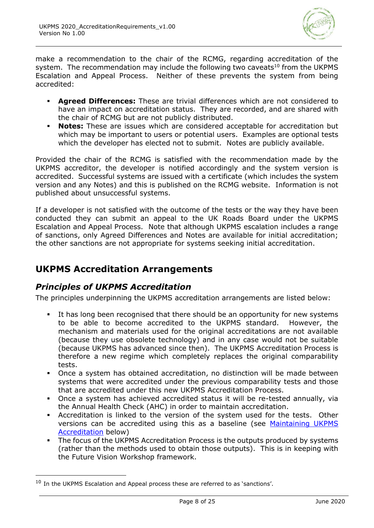

make a recommendation to the chair of the RCMG, regarding accreditation of the system. The recommendation may include the following two caveats<sup>10</sup> from the UKPMS Escalation and Appeal Process. Neither of these prevents the system from being accredited:

- **Agreed Differences:** These are trivial differences which are not considered to have an impact on accreditation status. They are recorded, and are shared with the chair of RCMG but are not publicly distributed.
- **Notes:** These are issues which are considered acceptable for accreditation but which may be important to users or potential users. Examples are optional tests which the developer has elected not to submit. Notes are publicly available.

Provided the chair of the RCMG is satisfied with the recommendation made by the UKPMS accreditor, the developer is notified accordingly and the system version is accredited. Successful systems are issued with a certificate (which includes the system version and any Notes) and this is published on the RCMG website. Information is not published about unsuccessful systems.

If a developer is not satisfied with the outcome of the tests or the way they have been conducted they can submit an appeal to the UK Roads Board under the UKPMS Escalation and Appeal Process. Note that although UKPMS escalation includes a range of sanctions, only Agreed Differences and Notes are available for initial accreditation; the other sanctions are not appropriate for systems seeking initial accreditation.

## **UKPMS Accreditation Arrangements**

## *Principles of UKPMS Accreditation*

The principles underpinning the UKPMS accreditation arrangements are listed below:

- It has long been recognised that there should be an opportunity for new systems to be able to become accredited to the UKPMS standard. However, the mechanism and materials used for the original accreditations are not available (because they use obsolete technology) and in any case would not be suitable (because UKPMS has advanced since then). The UKPMS Accreditation Process is therefore a new regime which completely replaces the original comparability tests.
- Once a system has obtained accreditation, no distinction will be made between systems that were accredited under the previous comparability tests and those that are accredited under this new UKPMS Accreditation Process.
- Once a system has achieved accredited status it will be re-tested annually, via the Annual Health Check (AHC) in order to maintain accreditation.
- Accreditation is linked to the version of the system used for the tests. Other versions can be accredited using this as a baseline (see [Maintaining UKPMS](#page-10-0)  [Accreditation](#page-10-0) below)
- **•** The focus of the UKPMS Accreditation Process is the outputs produced by systems (rather than the methods used to obtain those outputs). This is in keeping with the Future Vision Workshop framework.

 $10$  In the UKPMS Escalation and Appeal process these are referred to as 'sanctions'.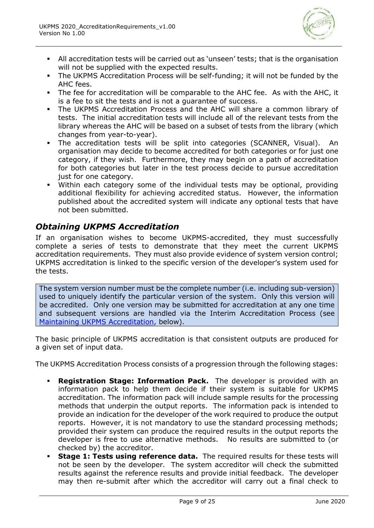

- All accreditation tests will be carried out as 'unseen' tests; that is the organisation will not be supplied with the expected results.
- The UKPMS Accreditation Process will be self-funding; it will not be funded by the AHC fees.
- The fee for accreditation will be comparable to the AHC fee. As with the AHC, it is a fee to sit the tests and is not a guarantee of success.
- The UKPMS Accreditation Process and the AHC will share a common library of tests. The initial accreditation tests will include all of the relevant tests from the library whereas the AHC will be based on a subset of tests from the library (which changes from year-to-year).
- The accreditation tests will be split into categories (SCANNER, Visual). An organisation may decide to become accredited for both categories or for just one category, if they wish. Furthermore, they may begin on a path of accreditation for both categories but later in the test process decide to pursue accreditation just for one category.
- Within each category some of the individual tests may be optional, providing additional flexibility for achieving accredited status. However, the information published about the accredited system will indicate any optional tests that have not been submitted.

## *Obtaining UKPMS Accreditation*

If an organisation wishes to become UKPMS-accredited, they must successfully complete a series of tests to demonstrate that they meet the current UKPMS accreditation requirements. They must also provide evidence of system version control; UKPMS accreditation is linked to the specific version of the developer's system used for the tests.

The system version number must be the complete number (i.e. including sub-version) used to uniquely identify the particular version of the system. Only this version will be accredited. Only one version may be submitted for accreditation at any one time and subsequent versions are handled via the Interim Accreditation Process (see [Maintaining UKPMS Accreditation,](#page-10-0) below).

The basic principle of UKPMS accreditation is that consistent outputs are produced for a given set of input data.

The UKPMS Accreditation Process consists of a progression through the following stages:

- **Registration Stage: Information Pack.** The developer is provided with an information pack to help them decide if their system is suitable for UKPMS accreditation. The information pack will include sample results for the processing methods that underpin the output reports. The information pack is intended to provide an indication for the developer of the work required to produce the output reports. However, it is not mandatory to use the standard processing methods; provided their system can produce the required results in the output reports the developer is free to use alternative methods. No results are submitted to (or checked by) the accreditor.
- **Stage 1: Tests using reference data.** The required results for these tests will not be seen by the developer. The system accreditor will check the submitted results against the reference results and provide initial feedback. The developer may then re-submit after which the accreditor will carry out a final check to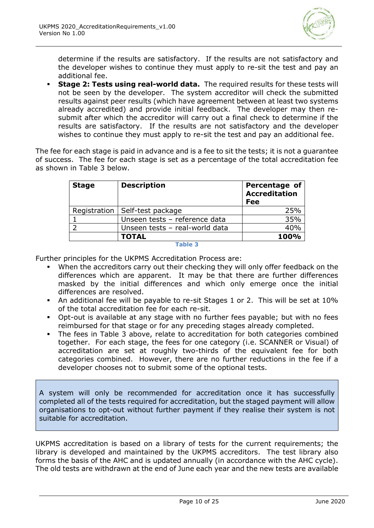

determine if the results are satisfactory. If the results are not satisfactory and the developer wishes to continue they must apply to re-sit the test and pay an additional fee.

**Stage 2: Tests using real-world data.** The required results for these tests will not be seen by the developer. The system accreditor will check the submitted results against peer results (which have agreement between at least two systems already accredited) and provide initial feedback. The developer may then resubmit after which the accreditor will carry out a final check to determine if the results are satisfactory. If the results are not satisfactory and the developer wishes to continue they must apply to re-sit the test and pay an additional fee.

The fee for each stage is paid in advance and is a fee to sit the tests; it is not a guarantee of success. The fee for each stage is set as a percentage of the total accreditation fee as shown in Table 3 below.

| <b>Stage</b> | <b>Description</b>               | Percentage of<br><b>Accreditation</b><br>Fee |
|--------------|----------------------------------|----------------------------------------------|
|              | Registration   Self-test package | 25%                                          |
|              | Unseen tests - reference data    | 35%                                          |
|              | Unseen tests - real-world data   | 40%                                          |
|              | <b>TOTAL</b>                     | 100%                                         |

#### **Table 3**

Further principles for the UKPMS Accreditation Process are:

- When the accreditors carry out their checking they will only offer feedback on the differences which are apparent. It may be that there are further differences masked by the initial differences and which only emerge once the initial differences are resolved.
- An additional fee will be payable to re-sit Stages 1 or 2. This will be set at 10% of the total accreditation fee for each re-sit.
- Opt-out is available at any stage with no further fees payable; but with no fees reimbursed for that stage or for any preceding stages already completed.
- The fees in Table 3 above, relate to accreditation for both categories combined together. For each stage, the fees for one category (i.e. SCANNER or Visual) of accreditation are set at roughly two-thirds of the equivalent fee for both categories combined. However, there are no further reductions in the fee if a developer chooses not to submit some of the optional tests.

A system will only be recommended for accreditation once it has successfully completed all of the tests required for accreditation, but the staged payment will allow organisations to opt-out without further payment if they realise their system is not suitable for accreditation.

UKPMS accreditation is based on a library of tests for the current requirements; the library is developed and maintained by the UKPMS accreditors. The test library also forms the basis of the AHC and is updated annually (in accordance with the AHC cycle). The old tests are withdrawn at the end of June each year and the new tests are available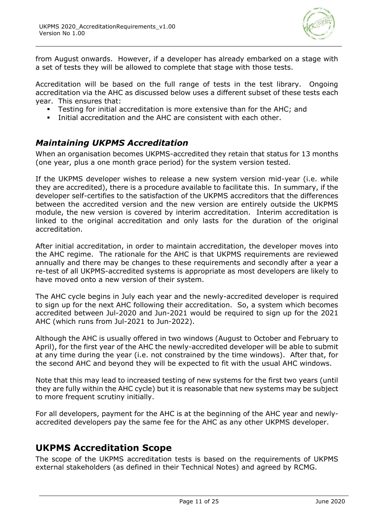

from August onwards. However, if a developer has already embarked on a stage with a set of tests they will be allowed to complete that stage with those tests.

Accreditation will be based on the full range of tests in the test library. Ongoing accreditation via the AHC as discussed below uses a different subset of these tests each year. This ensures that:

- Testing for initial accreditation is more extensive than for the AHC; and
- Initial accreditation and the AHC are consistent with each other.

## <span id="page-10-0"></span>*Maintaining UKPMS Accreditation*

When an organisation becomes UKPMS-accredited they retain that status for 13 months (one year, plus a one month grace period) for the system version tested.

If the UKPMS developer wishes to release a new system version mid-year (i.e. while they are accredited), there is a procedure available to facilitate this. In summary, if the developer self-certifies to the satisfaction of the UKPMS accreditors that the differences between the accredited version and the new version are entirely outside the UKPMS module, the new version is covered by interim accreditation. Interim accreditation is linked to the original accreditation and only lasts for the duration of the original accreditation.

After initial accreditation, in order to maintain accreditation, the developer moves into the AHC regime. The rationale for the AHC is that UKPMS requirements are reviewed annually and there may be changes to these requirements and secondly after a year a re-test of all UKPMS-accredited systems is appropriate as most developers are likely to have moved onto a new version of their system.

The AHC cycle begins in July each year and the newly-accredited developer is required to sign up for the next AHC following their accreditation. So, a system which becomes accredited between Jul-2020 and Jun-2021 would be required to sign up for the 2021 AHC (which runs from Jul-2021 to Jun-2022).

Although the AHC is usually offered in two windows (August to October and February to April), for the first year of the AHC the newly-accredited developer will be able to submit at any time during the year (i.e. not constrained by the time windows). After that, for the second AHC and beyond they will be expected to fit with the usual AHC windows.

Note that this may lead to increased testing of new systems for the first two years (until they are fully within the AHC cycle) but it is reasonable that new systems may be subject to more frequent scrutiny initially.

For all developers, payment for the AHC is at the beginning of the AHC year and newlyaccredited developers pay the same fee for the AHC as any other UKPMS developer.

## **UKPMS Accreditation Scope**

The scope of the UKPMS accreditation tests is based on the requirements of UKPMS external stakeholders (as defined in their Technical Notes) and agreed by RCMG.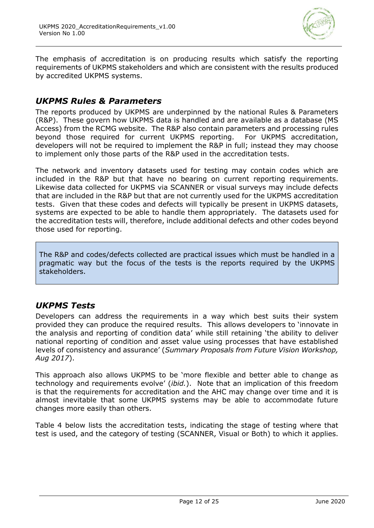

The emphasis of accreditation is on producing results which satisfy the reporting requirements of UKPMS stakeholders and which are consistent with the results produced by accredited UKPMS systems.

## *UKPMS Rules & Parameters*

The reports produced by UKPMS are underpinned by the national Rules & Parameters (R&P). These govern how UKPMS data is handled and are available as a database (MS Access) from the RCMG website. The R&P also contain parameters and processing rules beyond those required for current UKPMS reporting. For UKPMS accreditation, developers will not be required to implement the R&P in full; instead they may choose to implement only those parts of the R&P used in the accreditation tests.

The network and inventory datasets used for testing may contain codes which are included in the R&P but that have no bearing on current reporting requirements. Likewise data collected for UKPMS via SCANNER or visual surveys may include defects that are included in the R&P but that are not currently used for the UKPMS accreditation tests. Given that these codes and defects will typically be present in UKPMS datasets, systems are expected to be able to handle them appropriately. The datasets used for the accreditation tests will, therefore, include additional defects and other codes beyond those used for reporting.

The R&P and codes/defects collected are practical issues which must be handled in a pragmatic way but the focus of the tests is the reports required by the UKPMS stakeholders.

## *UKPMS Tests*

Developers can address the requirements in a way which best suits their system provided they can produce the required results. This allows developers to 'innovate in the analysis and reporting of condition data' while still retaining 'the ability to deliver national reporting of condition and asset value using processes that have established levels of consistency and assurance' (*Summary Proposals from Future Vision Workshop, Aug 2017*).

This approach also allows UKPMS to be 'more flexible and better able to change as technology and requirements evolve' (*ibid.*). Note that an implication of this freedom is that the requirements for accreditation and the AHC may change over time and it is almost inevitable that some UKPMS systems may be able to accommodate future changes more easily than others.

Table 4 below lists the accreditation tests, indicating the stage of testing where that test is used, and the category of testing (SCANNER, Visual or Both) to which it applies.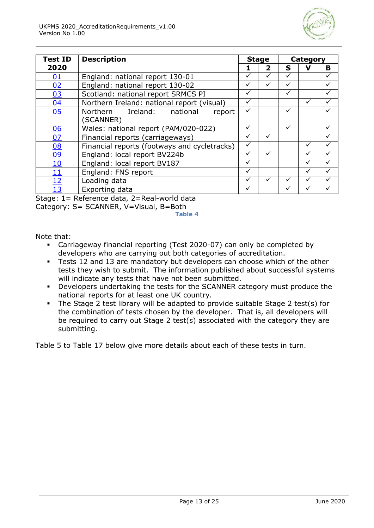

| <b>Test ID</b> | <b>Description</b>                           |   | <b>Stage</b> |   | Category |   |
|----------------|----------------------------------------------|---|--------------|---|----------|---|
| 2020           |                                              |   | 2            | S |          | в |
| 01             | England: national report 130-01              | ✓ |              | ✓ |          |   |
| 02             | England: national report 130-02              | ✓ |              | ✓ |          |   |
| 03             | Scotland: national report SRMCS PI           |   |              |   |          |   |
| 04             | Northern Ireland: national report (visual)   | ✓ |              |   |          |   |
| 05             | Northern Ireland: national<br>report         | ✓ |              | ✓ |          |   |
|                | (SCANNER)                                    |   |              |   |          |   |
| <u>06</u>      | Wales: national report (PAM/020-022)         |   |              | ✓ |          |   |
| 07             | Financial reports (carriageways)             |   |              |   |          |   |
| <u>08</u>      | Financial reports (footways and cycletracks) |   |              |   |          |   |
| <u>09</u>      | England: local report BV224b                 |   |              |   |          |   |
| <u>10</u>      | England: local report BV187                  |   |              |   |          |   |
| <u> 11</u>     | England: FNS report                          |   |              |   |          |   |
| 12             | Loading data                                 |   |              |   |          |   |
| 13             | Exporting data                               |   |              |   |          |   |

Stage: 1= Reference data, 2=Real-world data

Category: S= SCANNER, V=Visual, B=Both

**Table 4**

Note that:

- Carriageway financial reporting (Test 2020-07) can only be completed by developers who are carrying out both categories of accreditation.
- **EXELM** Tests 12 and 13 are mandatory but developers can choose which of the other tests they wish to submit. The information published about successful systems will indicate any tests that have not been submitted.
- Developers undertaking the tests for the SCANNER category must produce the national reports for at least one UK country.
- The Stage 2 test library will be adapted to provide suitable Stage 2 test(s) for the combination of tests chosen by the developer. That is, all developers will be required to carry out Stage 2 test(s) associated with the category they are submitting.

Table 5 to Table 17 below give more details about each of these tests in turn.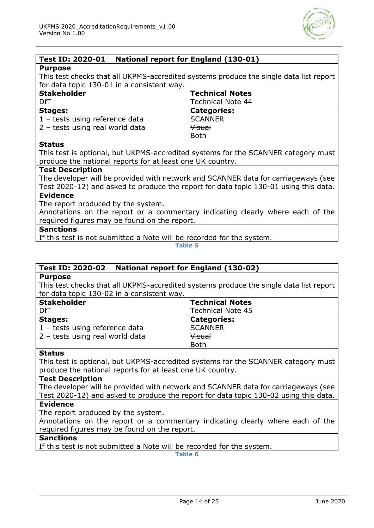

#### <span id="page-13-0"></span>**Test ID: 2020-01 National report for England (130-01)**

#### **Purpose**

This test checks that all UKPMS-accredited systems produce the single data list report for data topic 130-01 in a consistent way.

| <b>Stakeholder</b>              | <b>Technical Notes</b>   |
|---------------------------------|--------------------------|
| DfT                             | <b>Technical Note 44</b> |
| <b>Stages:</b>                  | <b>Categories:</b>       |
| 1 - tests using reference data  | <b>SCANNER</b>           |
| 2 - tests using real world data | <b>Visual</b>            |
|                                 | <b>Both</b>              |

#### **Status**

This test is optional, but UKPMS-accredited systems for the SCANNER category must produce the national reports for at least one UK country.

#### **Test Description**

The developer will be provided with network and SCANNER data for carriageways (see Test 2020-12) and asked to produce the report for data topic 130-01 using this data.

#### **Evidence**

The report produced by the system.

Annotations on the report or a commentary indicating clearly where each of the required figures may be found on the report.

#### **Sanctions**

If this test is not submitted a Note will be recorded for the system.

**Table 5**

#### <span id="page-13-1"></span>**Test ID: 2020-02 National report for England (130-02)**

#### **Purpose**

This test checks that all UKPMS-accredited systems produce the single data list report for data topic 130-02 in a consistent way.

| <b>Stakeholder</b>              | <b>Technical Notes</b>   |
|---------------------------------|--------------------------|
| DfT                             | <b>Technical Note 45</b> |
| <b>Stages:</b>                  | <b>Categories:</b>       |
| 1 - tests using reference data  | <b>SCANNER</b>           |
| 2 - tests using real world data | <b>Visual</b>            |
|                                 | <b>Both</b>              |

#### **Status**

This test is optional, but UKPMS-accredited systems for the SCANNER category must produce the national reports for at least one UK country.

#### **Test Description**

The developer will be provided with network and SCANNER data for carriageways (see Test 2020-12) and asked to produce the report for data topic 130-02 using this data.

#### **Evidence**

The report produced by the system.

Annotations on the report or a commentary indicating clearly where each of the required figures may be found on the report.

#### **Sanctions**

If this test is not submitted a Note will be recorded for the system.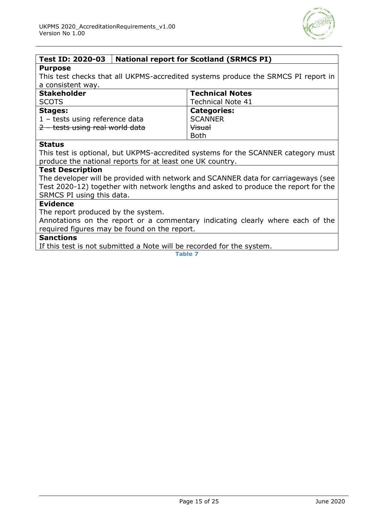

## <span id="page-14-0"></span>**Test ID: 2020-03 National report for Scotland (SRMCS PI)**

#### **Purpose**

This test checks that all UKPMS-accredited systems produce the SRMCS PI report in a consistent way.

| <b>Stakeholder</b>              | <b>Technical Notes</b>   |
|---------------------------------|--------------------------|
| <b>SCOTS</b>                    | <b>Technical Note 41</b> |
| <b>Stages:</b>                  | <b>Categories:</b>       |
| 1 - tests using reference data  | <b>SCANNER</b>           |
| 2 - tests using real world data | <b>Visual</b>            |
|                                 | <b>Both</b>              |

#### **Status**

This test is optional, but UKPMS-accredited systems for the SCANNER category must produce the national reports for at least one UK country.

#### **Test Description**

The developer will be provided with network and SCANNER data for carriageways (see Test 2020-12) together with network lengths and asked to produce the report for the SRMCS PI using this data.

#### **Evidence**

The report produced by the system.

Annotations on the report or a commentary indicating clearly where each of the required figures may be found on the report.

#### **Sanctions**

If this test is not submitted a Note will be recorded for the system.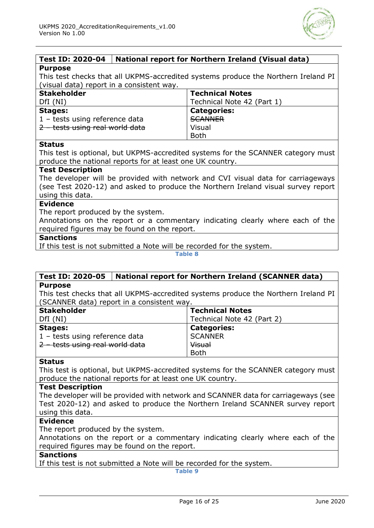

#### <span id="page-15-0"></span>**Test ID: 2020-04 National report for Northern Ireland (Visual data) Purpose**

This test checks that all UKPMS-accredited systems produce the Northern Ireland PI (visual data) report in a consistent way.

| <b>Stakeholder</b>              | <b>Technical Notes</b>     |
|---------------------------------|----------------------------|
| DfI(NI)                         | Technical Note 42 (Part 1) |
| <b>Stages:</b>                  | <b>Categories:</b>         |
| 1 - tests using reference data  | <b>SCANNER</b>             |
| 2 - tests using real world data | Visual                     |
|                                 | <b>Both</b>                |

#### **Status**

This test is optional, but UKPMS-accredited systems for the SCANNER category must produce the national reports for at least one UK country.

#### **Test Description**

The developer will be provided with network and CVI visual data for carriageways (see Test 2020-12) and asked to produce the Northern Ireland visual survey report using this data.

#### **Evidence**

The report produced by the system.

Annotations on the report or a commentary indicating clearly where each of the required figures may be found on the report.

#### **Sanctions**

If this test is not submitted a Note will be recorded for the system.

**Table 8**

#### <span id="page-15-1"></span>**Test ID: 2020-05 National report for Northern Ireland (SCANNER data) Purpose**

This test checks that all UKPMS-accredited systems produce the Northern Ireland PI (SCANNER data) report in a consistent way.

| <b>Stakeholder</b>              | <b>Technical Notes</b>     |
|---------------------------------|----------------------------|
| DfI(NI)                         | Technical Note 42 (Part 2) |
| <b>Stages:</b>                  | <b>Categories:</b>         |
| 1 - tests using reference data  | <b>SCANNER</b>             |
| 2 - tests using real world data | <b>Visual</b>              |
|                                 | <b>Both</b>                |

#### **Status**

This test is optional, but UKPMS-accredited systems for the SCANNER category must produce the national reports for at least one UK country.

#### **Test Description**

The developer will be provided with network and SCANNER data for carriageways (see Test 2020-12) and asked to produce the Northern Ireland SCANNER survey report using this data.

#### **Evidence**

The report produced by the system.

Annotations on the report or a commentary indicating clearly where each of the required figures may be found on the report.

#### **Sanctions**

If this test is not submitted a Note will be recorded for the system.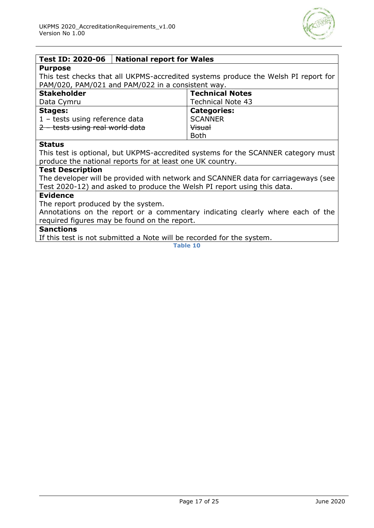

#### <span id="page-16-0"></span>**Test ID: 2020-06 National report for Wales**

#### **Purpose**

This test checks that all UKPMS-accredited systems produce the Welsh PI report for PAM/020, PAM/021 and PAM/022 in a consistent way.

| <b>Stakeholder</b>              | <b>Technical Notes</b> |
|---------------------------------|------------------------|
| Data Cymru                      | Technical Note 43      |
| <b>Stages:</b>                  | <b>Categories:</b>     |
| 1 - tests using reference data  | <b>SCANNER</b>         |
| 2 - tests using real world data | <b>Visual</b>          |
|                                 | <b>Both</b>            |

#### **Status**

This test is optional, but UKPMS-accredited systems for the SCANNER category must produce the national reports for at least one UK country.

#### **Test Description**

The developer will be provided with network and SCANNER data for carriageways (see Test 2020-12) and asked to produce the Welsh PI report using this data.

#### **Evidence**

The report produced by the system.

Annotations on the report or a commentary indicating clearly where each of the required figures may be found on the report.

#### **Sanctions**

If this test is not submitted a Note will be recorded for the system.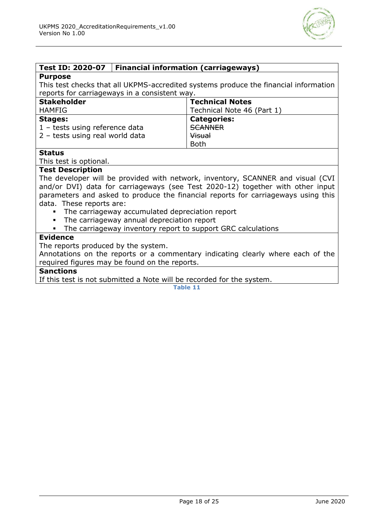

#### <span id="page-17-0"></span>**Test ID: 2020-07 Financial information (carriageways)**

#### **Purpose**

This test checks that all UKPMS-accredited systems produce the financial information reports for carriageways in a consistent way.

| <b>Stakeholder</b>                      | <b>Technical Notes</b>     |
|-----------------------------------------|----------------------------|
| HAMFIG                                  | Technical Note 46 (Part 1) |
| <b>Stages:</b>                          | <b>Categories:</b>         |
| $1 - \text{tests using reference data}$ | <b>SCANNER</b>             |
| 2 - tests using real world data         | Visual                     |
|                                         | <b>Both</b>                |

#### **Status**

This test is optional.

#### **Test Description**

The developer will be provided with network, inventory, SCANNER and visual (CVI and/or DVI) data for carriageways (see Test 2020-12) together with other input parameters and asked to produce the financial reports for carriageways using this data. These reports are:

- The carriageway accumulated depreciation report
- The carriageway annual depreciation report
- The carriageway inventory report to support GRC calculations

#### **Evidence**

The reports produced by the system.

Annotations on the reports or a commentary indicating clearly where each of the required figures may be found on the reports.

#### **Sanctions**

If this test is not submitted a Note will be recorded for the system.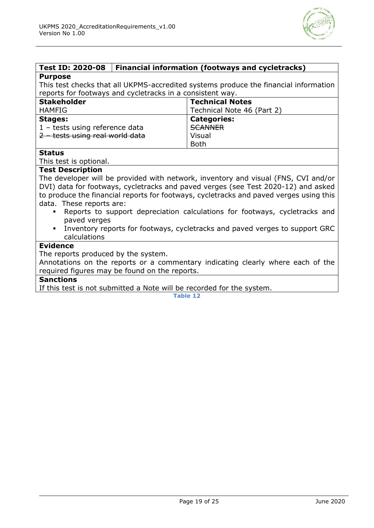

#### <span id="page-18-0"></span>**Test ID: 2020-08 Financial information (footways and cycletracks) Purpose**

This test checks that all UKPMS-accredited systems produce the financial information reports for footways and cycletracks in a consistent way.

| <b>Stakeholder</b>              | <b>Technical Notes</b>     |
|---------------------------------|----------------------------|
| <b>HAMFIG</b>                   | Technical Note 46 (Part 2) |
| <b>Stages:</b>                  | <b>Categories:</b>         |
| 1 - tests using reference data  | <b>SCANNER</b>             |
| 2 - tests using real world data | Visual                     |
|                                 | <b>Both</b>                |

#### **Status**

This test is optional.

#### **Test Description**

The developer will be provided with network, inventory and visual (FNS, CVI and/or DVI) data for footways, cycletracks and paved verges (see Test 2020-12) and asked to produce the financial reports for footways, cycletracks and paved verges using this data. These reports are:

- Reports to support depreciation calculations for footways, cycletracks and paved verges
- Inventory reports for footways, cycletracks and paved verges to support GRC calculations

#### **Evidence**

The reports produced by the system.

Annotations on the reports or a commentary indicating clearly where each of the required figures may be found on the reports.

#### **Sanctions**

If this test is not submitted a Note will be recorded for the system.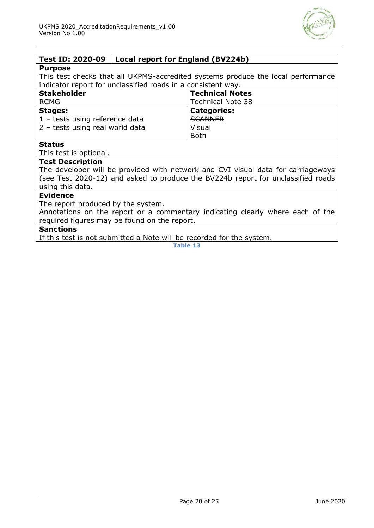

#### <span id="page-19-0"></span>**Test ID: 2020-09 Local report for England (BV224b)**

#### **Purpose**

This test checks that all UKPMS-accredited systems produce the local performance indicator report for unclassified roads in a consistent way.

| <b>Stakeholder</b>               | <b>Technical Notes</b>   |
|----------------------------------|--------------------------|
| <b>RCMG</b>                      | <b>Technical Note 38</b> |
| <b>Stages:</b>                   | <b>Categories:</b>       |
| $1$ – tests using reference data | <b>SCANNER</b>           |
| 2 - tests using real world data  | Visual                   |
|                                  | <b>Both</b>              |

#### **Status**

This test is optional.

#### **Test Description**

The developer will be provided with network and CVI visual data for carriageways (see Test 2020-12) and asked to produce the BV224b report for unclassified roads using this data.

#### **Evidence**

The report produced by the system.

Annotations on the report or a commentary indicating clearly where each of the required figures may be found on the report.

#### **Sanctions**

If this test is not submitted a Note will be recorded for the system.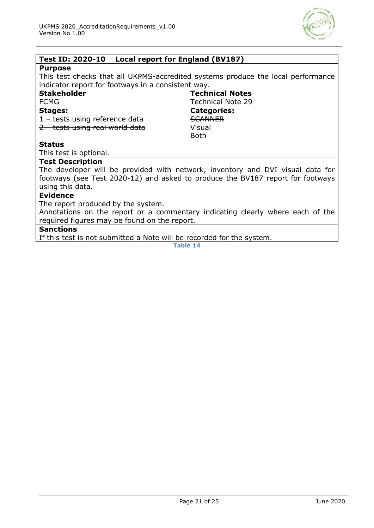

#### <span id="page-20-0"></span>**Test ID: 2020-10 Local report for England (BV187)**

#### **Purpose**

This test checks that all UKPMS-accredited systems produce the local performance indicator report for footways in a consistent way.

| <b>Stakeholder</b>              | <b>Technical Notes</b>   |
|---------------------------------|--------------------------|
| <b>FCMG</b>                     | <b>Technical Note 29</b> |
| <b>Stages:</b>                  | <b>Categories:</b>       |
| 1 - tests using reference data  | <b>SCANNER</b>           |
| 2 - tests using real world data | Visual                   |
|                                 | <b>Both</b>              |

#### **Status**

This test is optional.

#### **Test Description**

The developer will be provided with network, inventory and DVI visual data for footways (see Test 2020-12) and asked to produce the BV187 report for footways using this data.

#### **Evidence**

The report produced by the system.

Annotations on the report or a commentary indicating clearly where each of the required figures may be found on the report.

#### **Sanctions**

If this test is not submitted a Note will be recorded for the system.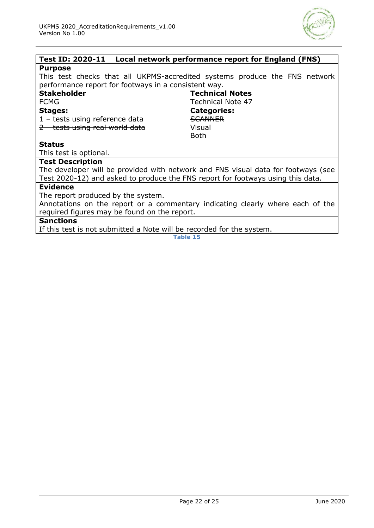

#### <span id="page-21-0"></span>**Test ID: 2020-11 Local network performance report for England (FNS) Purpose**

This test checks that all UKPMS-accredited systems produce the FNS network performance report for footways in a consistent way.

| <b>Stakeholder</b>              | <b>Technical Notes</b>   |
|---------------------------------|--------------------------|
| <b>FCMG</b>                     | <b>Technical Note 47</b> |
| <b>Stages:</b>                  | <b>Categories:</b>       |
| 1 - tests using reference data  | <b>SCANNER</b>           |
| 2 - tests using real world data | Visual                   |
|                                 | <b>Both</b>              |

#### **Status**

This test is optional.

#### **Test Description**

The developer will be provided with network and FNS visual data for footways (see Test 2020-12) and asked to produce the FNS report for footways using this data.

#### **Evidence**

The report produced by the system.

Annotations on the report or a commentary indicating clearly where each of the required figures may be found on the report.

#### **Sanctions**

If this test is not submitted a Note will be recorded for the system.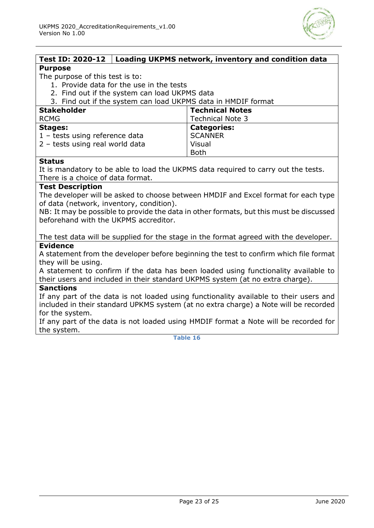

<span id="page-22-0"></span>

|                                                                                        | Test ID: 2020-12   Loading UKPMS network, inventory and condition data |                                                                                         |
|----------------------------------------------------------------------------------------|------------------------------------------------------------------------|-----------------------------------------------------------------------------------------|
| <b>Purpose</b>                                                                         |                                                                        |                                                                                         |
| The purpose of this test is to:                                                        |                                                                        |                                                                                         |
|                                                                                        | 1. Provide data for the use in the tests                               |                                                                                         |
|                                                                                        | 2. Find out if the system can load UKPMS data                          |                                                                                         |
|                                                                                        |                                                                        | 3. Find out if the system can load UKPMS data in HMDIF format                           |
| <b>Stakeholder</b>                                                                     |                                                                        | <b>Technical Notes</b>                                                                  |
| <b>RCMG</b>                                                                            |                                                                        | <b>Technical Note 3</b>                                                                 |
| <b>Stages:</b>                                                                         |                                                                        | <b>Categories:</b>                                                                      |
| 1 - tests using reference data                                                         |                                                                        | <b>SCANNER</b>                                                                          |
| 2 - tests using real world data                                                        |                                                                        | Visual                                                                                  |
|                                                                                        |                                                                        | <b>Both</b>                                                                             |
| <b>Status</b>                                                                          |                                                                        |                                                                                         |
|                                                                                        |                                                                        | It is mandatory to be able to load the UKPMS data required to carry out the tests.      |
| There is a choice of data format.                                                      |                                                                        |                                                                                         |
| <b>Test Description</b>                                                                |                                                                        |                                                                                         |
|                                                                                        |                                                                        | The developer will be asked to choose between HMDIF and Excel format for each type      |
| of data (network, inventory, condition).                                               |                                                                        |                                                                                         |
|                                                                                        |                                                                        | NB: It may be possible to provide the data in other formats, but this must be discussed |
| beforehand with the UKPMS accreditor.                                                  |                                                                        |                                                                                         |
|                                                                                        |                                                                        |                                                                                         |
|                                                                                        |                                                                        | The test data will be supplied for the stage in the format agreed with the developer.   |
| <b>Evidence</b>                                                                        |                                                                        |                                                                                         |
| A statement from the developer before beginning the test to confirm which file format  |                                                                        |                                                                                         |
| they will be using.                                                                    |                                                                        |                                                                                         |
| A statement to confirm if the data has been loaded using functionality available to    |                                                                        |                                                                                         |
| their users and included in their standard UKPMS system (at no extra charge).          |                                                                        |                                                                                         |
| <b>Sanctions</b>                                                                       |                                                                        |                                                                                         |
| If any part of the data is not loaded using functionality available to their users and |                                                                        |                                                                                         |
| included in their standard UPKMS system (at no extra charge) a Note will be recorded   |                                                                        |                                                                                         |
| for the system.                                                                        |                                                                        |                                                                                         |
| If any part of the data is not loaded using HMDIF format a Note will be recorded for   |                                                                        |                                                                                         |

the system.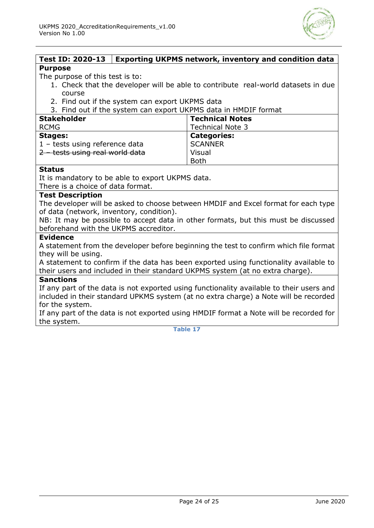

#### <span id="page-23-0"></span>**Test ID: 2020-13 Exporting UKPMS network, inventory and condition data Purpose**

The purpose of this test is to:

- 1. Check that the developer will be able to contribute real-world datasets in due course
- 2. Find out if the system can export UKPMS data

3. Find out if the system can export UKPMS data in HMDIF format

| <b>Stakeholder</b>              | <b>Technical Notes</b>  |
|---------------------------------|-------------------------|
| <b>RCMG</b>                     | <b>Technical Note 3</b> |
| <b>Stages:</b>                  | <b>Categories:</b>      |
| 1 - tests using reference data  | <b>SCANNER</b>          |
| 2 - tests using real world data | Visual                  |
|                                 | <b>Both</b>             |

#### **Status**

It is mandatory to be able to export UKPMS data.

There is a choice of data format.

#### **Test Description**

The developer will be asked to choose between HMDIF and Excel format for each type of data (network, inventory, condition).

NB: It may be possible to accept data in other formats, but this must be discussed beforehand with the UKPMS accreditor.

#### **Evidence**

A statement from the developer before beginning the test to confirm which file format they will be using.

A statement to confirm if the data has been exported using functionality available to their users and included in their standard UKPMS system (at no extra charge).

#### **Sanctions**

If any part of the data is not exported using functionality available to their users and included in their standard UPKMS system (at no extra charge) a Note will be recorded for the system.

If any part of the data is not exported using HMDIF format a Note will be recorded for the system.